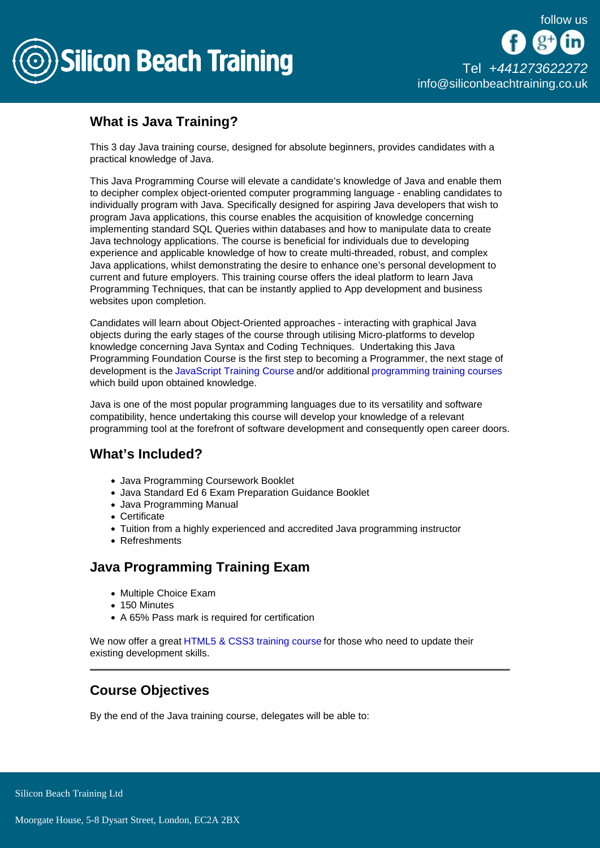

# What is Java Training?

This 3 day Java training course, designed for absolute beginners, provides candidates with a practical knowledge of Java.

This Java Programming Course will elevate a candidate's knowledge of Java and enable them to decipher complex object-oriented computer programming language - enabling candidates to individually program with Java. Specifically designed for aspiring Java developers that wish to program Java applications, this course enables the acquisition of knowledge concerning implementing standard SQL Queries within databases and how to manipulate data to create Java technology applications. The course is beneficial for individuals due to developing experience and applicable knowledge of how to create multi-threaded, robust, and complex Java applications, whilst demonstrating the desire to enhance one's personal development to current and future employers. This training course offers the ideal platform to learn Java Programming Techniques, that can be instantly applied to App development and business websites upon completion.

Candidates will learn about Object-Oriented approaches - interacting with graphical Java objects during the early stages of the course through utilising Micro-platforms to develop knowledge concerning Java Syntax and Coding Techniques. Undertaking this Java Programming Foundation Course is the first step to becoming a Programmer, the next stage of development is the [JavaScript Training Course](/programming-training/javascript-training) and/or additional [programming training courses](/programming-training) which build upon obtained knowledge.

Java is one of the most popular programming languages due to its versatility and software compatibility, hence undertaking this course will develop your knowledge of a relevant programming tool at the forefront of software development and consequently open career doors.

## What's Included?

- Java Programming Coursework Booklet
- Java Standard Ed 6 Exam Preparation Guidance Booklet
- Java Programming Manual
- Certificate
- Tuition from a highly experienced and accredited Java programming instructor
- Refreshments

## Java Programming Training Exam

- Multiple Choice Exam
- 150 Minutes
- A 65% Pass mark is required for certification

We now offer a great [HTML5 & CSS3 training course](/web-design-training/html5-css3-training) for those who need to update their existing development skills.

## Course Objectives

By the end of the Java training course, delegates will be able to: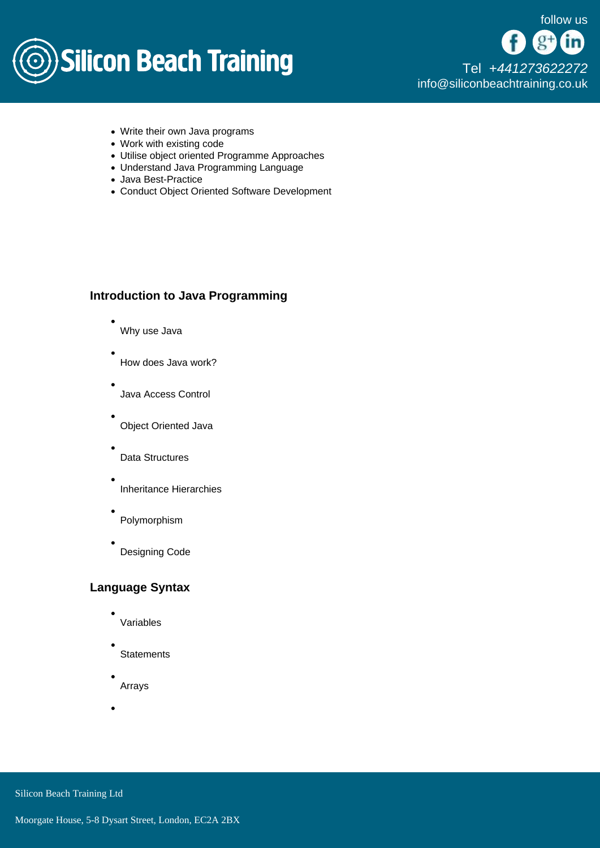

[Tel +44](tel:+441273622272)1273622272 [info@siliconbeachtraining.co.uk](/var/www/html/siliconbeachtraining.co.uk/public/mailTo:info@siliconbeachtraining.co.uk)

- Write their own Java programs
- Work with existing code
- Utilise object oriented Programme Approaches
- Understand Java Programming Language
- Java Best-Practice
- Conduct Object Oriented Software Development

## Introduction to Java Programming

- Why use Java
- How does Java work?
- Java Access Control
- Object Oriented Java
- Data Structures
- Inheritance Hierarchies
- Polymorphism
- Designing Code

#### Language Syntax

- Variables
- **Statements**
- Arrays

Silicon Beach Training Ltd